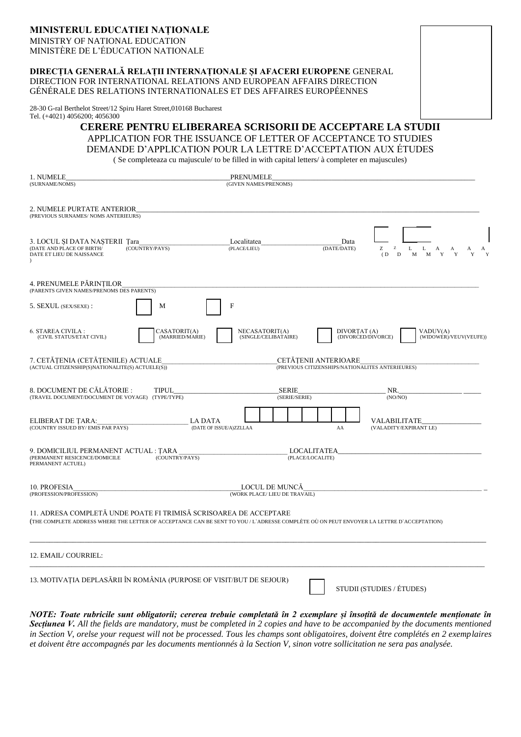# **MINISTERUL EDUCATIEI NAȚIONALE**

MINISTRY OF NATIONAL EDUCATION MINISTÈRE DE L'ÉDUCATION NATIONALE

### **DIRECȚIA GENERALĂ RELAȚII INTERNAȚIONALE ȘI AFACERI EUROPENE** GENERAL DIRECTION FOR INTERNATIONAL RELATIONS AND EUROPEAN AFFAIRS DIRECTION GÉNÉRALE DES RELATIONS INTERNATIONALES ET DES AFFAIRES EUROPÉENNES

28-30 G-ral Berthelot Street/12 Spiru Haret Street,010168 Bucharest Tel. (+4021) 4056200; 4056300

> **CERERE PENTRU ELIBERAREA SCRISORII DE ACCEPTARE LA STUDII** APPLICATION FOR THE ISSUANCE OF LETTER OF ACCEPTANCE TO STUDIES DEMANDE D'APPLICATION POUR LA LETTRE D'ACCEPTATION AUX ÉTUDES

( Se completeaza cu majuscule/ to be filled in with capital letters/ à completer en majuscules)

| 1. NUMELE<br>(SURNAME/NOMS)                                                                                                                                                                                   | PRENUMELE<br>(GIVEN NAMES/PRENOMS)              |                                                                                 |                                                |
|---------------------------------------------------------------------------------------------------------------------------------------------------------------------------------------------------------------|-------------------------------------------------|---------------------------------------------------------------------------------|------------------------------------------------|
| 2. NUMELE PURTATE ANTERIOR<br>(PREVIOUS SURNAMES/ NOMS ANTERIEURS)                                                                                                                                            |                                                 |                                                                                 |                                                |
| 3. LOCUL ȘI DATA NAȘTERII Țara<br>(DATE AND PLACE OF BIRTH/<br>(COUNTRY/PAYS)<br>DATE ET LIEU DE NAISSANCE                                                                                                    | Localitatea<br>(PLACE/LIEU)                     | Data<br>(DATE/DATE)<br>Ζ<br>Z<br>(D)<br>D                                       | L<br>L<br>А<br>A<br>A<br>M<br>M<br>Y<br>Y<br>Y |
| 4. PRENUMELE PĂRINȚILOR<br>(PARENTS GIVEN NAMES/PRENOMS DES PARENTS)                                                                                                                                          |                                                 |                                                                                 |                                                |
| 5. SEXUL (SEX/SEXE):<br>М                                                                                                                                                                                     | $\mathbf F$                                     |                                                                                 |                                                |
| <b>6. STAREA CIVILA:</b><br>CASATORIT(A)<br>(CIVIL STATUS/ETAT CIVIL)<br>(MARRIED/MARIE)                                                                                                                      | NECASATORIT(A)<br>(SINGLE/CELIBATAIRE)          | DIVORTAT (A)<br>(DIVORCED/DIVORCE)                                              | VADUV(A)<br>(WIDOWER)/VEUV(VEUFE))             |
| 7. CETĂȚENIA (CETĂȚENIILE) ACTUALE<br>$(ACTUAL CITIZENSHIP(S)NATIONALITE(S) ACTUELE(\overline{S}))$                                                                                                           |                                                 | <b>CETATENII ANTERIOARE</b><br>(PREVIOUS CITIZENSHIPS/NATIONALITES ANTERIEURES) |                                                |
| 8. DOCUMENT DE CĂLĂTORIE :<br><b>TIPUL</b><br>(TRAVEL DOCUMENT/DOCUMENT DE VOYAGE) (TYPE/TYPE)                                                                                                                | <b>SERIE</b><br>(SERIE/SERIE)                   | NR.<br>(NO/NO)                                                                  |                                                |
| ELIBERAT DE TARA:<br>(COUNTRY ISSUED BY/EMIS PAR PAYS)                                                                                                                                                        | LA DATA<br>(DATE OF ISSUE/A)ZZLLAA              | VALABILITATE<br>(VALADITY/EXPIRANT LE)<br>AA                                    |                                                |
| 9. DOMICILIUL PERMANENT ACTUAL : TARA<br>(PERMANENT RESICENCE/DOMICILE<br>(COUNTRY/PAYS)<br>PERMANENT ACTUEL)                                                                                                 | LOCALITATEA<br>(PLACE/LOCALITE)                 |                                                                                 |                                                |
| 10. PROFESIA<br>(PROFESSION/PROFESSION)                                                                                                                                                                       | LOCUL DE MUNCĂ<br>(WORK PLACE/ LIEU DE TRAVAIL) |                                                                                 |                                                |
| 11. ADRESA COMPLETĂ UNDE POATE FI TRIMISĂ SCRISOAREA DE ACCEPTARE<br>(THE COMPLETE ADDRESS WHERE THE LETTER OF ACCEPTANCE CAN BE SENT TO YOU / L'ADRESSE COMPLÈTE OÙ ON PEUT ENVOYER LA LETTRE D'ACCEPTATION) |                                                 |                                                                                 |                                                |
| 12. EMAIL/COURRIEL:                                                                                                                                                                                           |                                                 |                                                                                 |                                                |
| 13. MOTIVAȚIA DEPLASĂRII ÎN ROMÂNIA (PURPOSE OF VISIT/BUT DE SEJOUR)                                                                                                                                          |                                                 | STUDII (STUDIES / ÉTUDES)                                                       |                                                |

*NOTE: Toate rubricile sunt obligatorii; cererea trebuie completată în 2 exemplare și însoțită de documentele menționate în Secțiunea V. All the fields are mandatory, must be completed in 2 copies and have to be accompanied by the documents mentioned in Section V, orelse your request will not be processed. Tous les champs sont obligatoires, doivent être complétés en 2 exemplaires et doivent être accompagnés par les documents mentionnés à la Section V, sinon votre sollicitation ne sera pas analysée.*